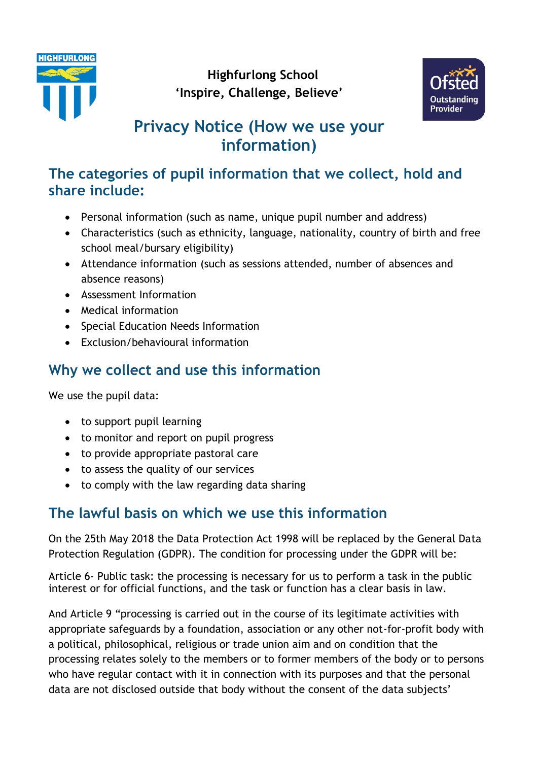



# **Privacy Notice (How we use your information)**

### **The categories of pupil information that we collect, hold and share include:**

- Personal information (such as name, unique pupil number and address)
- Characteristics (such as ethnicity, language, nationality, country of birth and free school meal/bursary eligibility)
- Attendance information (such as sessions attended, number of absences and absence reasons)
- Assessment Information
- Medical information
- Special Education Needs Information
- Exclusion/behavioural information

## **Why we collect and use this information**

We use the pupil data:

- to support pupil learning
- to monitor and report on pupil progress
- to provide appropriate pastoral care
- to assess the quality of our services
- to comply with the law regarding data sharing

# **The lawful basis on which we use this information**

On the 25th May 2018 the Data Protection Act 1998 will be replaced by the General Data Protection Regulation (GDPR). The condition for processing under the GDPR will be:

Article 6- Public task: the processing is necessary for us to perform a task in the public interest or for official functions, and the task or function has a clear basis in law.

And Article 9 "processing is carried out in the course of its legitimate activities with appropriate safeguards by a foundation, association or any other not-for-profit body with a political, philosophical, religious or trade union aim and on condition that the processing relates solely to the members or to former members of the body or to persons who have regular contact with it in connection with its purposes and that the personal data are not disclosed outside that body without the consent of the data subjects'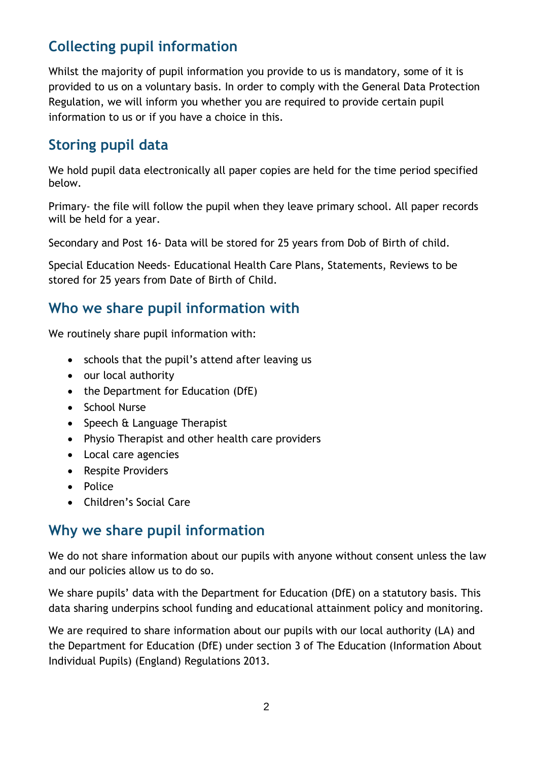## **Collecting pupil information**

Whilst the majority of pupil information you provide to us is mandatory, some of it is provided to us on a voluntary basis. In order to comply with the General Data Protection Regulation, we will inform you whether you are required to provide certain pupil information to us or if you have a choice in this.

### **Storing pupil data**

We hold pupil data electronically all paper copies are held for the time period specified below.

Primary- the file will follow the pupil when they leave primary school. All paper records will be held for a year.

Secondary and Post 16- Data will be stored for 25 years from Dob of Birth of child.

Special Education Needs- Educational Health Care Plans, Statements, Reviews to be stored for 25 years from Date of Birth of Child.

#### **Who we share pupil information with**

We routinely share pupil information with:

- schools that the pupil's attend after leaving us
- our local authority
- the Department for Education (DfE)
- School Nurse
- Speech & Language Therapist
- Physio Therapist and other health care providers
- Local care agencies
- Respite Providers
- Police
- Children's Social Care

#### **Why we share pupil information**

We do not share information about our pupils with anyone without consent unless the law and our policies allow us to do so.

We share pupils' data with the Department for Education (DfE) on a statutory basis. This data sharing underpins school funding and educational attainment policy and monitoring.

We are required to share information about our pupils with our local authority (LA) and the Department for Education (DfE) under section 3 of The Education (Information About Individual Pupils) (England) Regulations 2013.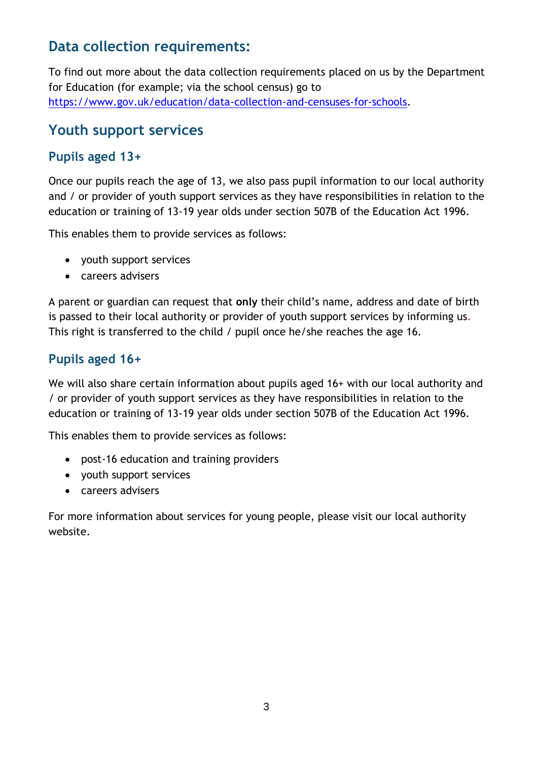### **Data collection requirements:**

To find out more about the data collection requirements placed on us by the Department for Education (for example; via the school census) go to [https://www.gov.uk/education/data-collection-and-censuses-for-schools.](https://www.gov.uk/education/data-collection-and-censuses-for-schools)

#### **Youth support services**

#### **Pupils aged 13+**

Once our pupils reach the age of 13, we also pass pupil information to our local authority and / or provider of youth support services as they have responsibilities in relation to the education or training of 13-19 year olds under section 507B of the Education Act 1996.

This enables them to provide services as follows:

- youth support services
- careers advisers

A parent or guardian can request that **only** their child's name, address and date of birth is passed to their local authority or provider of youth support services by informing us. This right is transferred to the child / pupil once he/she reaches the age 16.

#### **Pupils aged 16+**

We will also share certain information about pupils aged 16+ with our local authority and / or provider of youth support services as they have responsibilities in relation to the education or training of 13-19 year olds under section 507B of the Education Act 1996.

This enables them to provide services as follows:

- post-16 education and training providers
- youth support services
- careers advisers

For more information about services for young people, please visit our local authority website.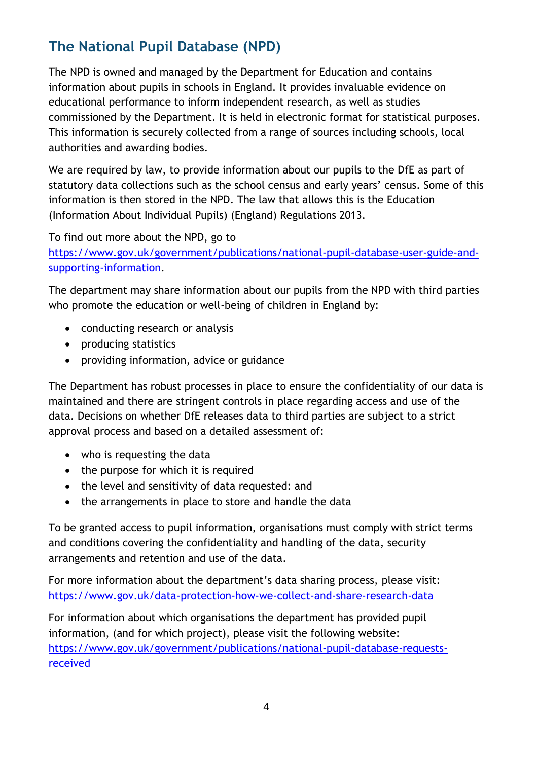## **The National Pupil Database (NPD)**

The NPD is owned and managed by the Department for Education and contains information about pupils in schools in England. It provides invaluable evidence on educational performance to inform independent research, as well as studies commissioned by the Department. It is held in electronic format for statistical purposes. This information is securely collected from a range of sources including schools, local authorities and awarding bodies.

We are required by law, to provide information about our pupils to the DfE as part of statutory data collections such as the school census and early years' census. Some of this information is then stored in the NPD. The law that allows this is the Education (Information About Individual Pupils) (England) Regulations 2013.

To find out more about the NPD, go to

[https://www.gov.uk/government/publications/national-pupil-database-user-guide-and](https://www.gov.uk/government/publications/national-pupil-database-user-guide-and-supporting-information)[supporting-information.](https://www.gov.uk/government/publications/national-pupil-database-user-guide-and-supporting-information)

The department may share information about our pupils from the NPD with third parties who promote the education or well-being of children in England by:

- conducting research or analysis
- producing statistics
- providing information, advice or guidance

The Department has robust processes in place to ensure the confidentiality of our data is maintained and there are stringent controls in place regarding access and use of the data. Decisions on whether DfE releases data to third parties are subject to a strict approval process and based on a detailed assessment of:

- who is requesting the data
- the purpose for which it is required
- the level and sensitivity of data requested: and
- the arrangements in place to store and handle the data

To be granted access to pupil information, organisations must comply with strict terms and conditions covering the confidentiality and handling of the data, security arrangements and retention and use of the data.

For more information about the department's data sharing process, please visit: <https://www.gov.uk/data-protection-how-we-collect-and-share-research-data>

For information about which organisations the department has provided pupil information, (and for which project), please visit the following website: [https://www.gov.uk/government/publications/national-pupil-database-requests](https://www.gov.uk/government/publications/national-pupil-database-requests-received)[received](https://www.gov.uk/government/publications/national-pupil-database-requests-received)